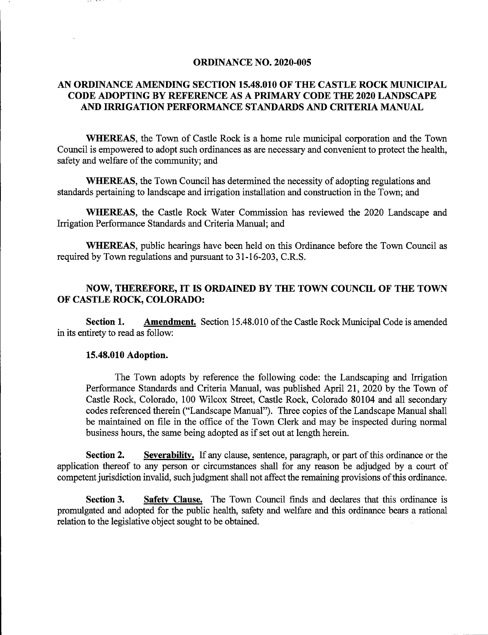#### ORDINANCE NO. 2020-005

# AN ORDINANCE AMENDING SECTION 15.48.010 OF THE CASTLE ROCK MUNICIPAL CODE ADOPTING BY REFERENCE AS A PRIMARY CODE THE 2020 LANDSCAPE AND IRRIGATION PERFORMANCE STANDARDS AND CRITERIA MANUAL

WHEREAS, the Town of Castle Rock is a home rule municipal corporation and the Town Council is empowered to adopt such ordinances as are necessary and convenient to protect the health, safety and welfare of the community; and

WHEREAS, the Town Council has determined the necessity of adopting regulations and standards pertaining to landscape and irrigation installation and construction in the Town; and

WHEREAS, the Castle Rock Water Commission has reviewed the 2020 Landscape and Irrigation Performance Standards and Criteria Manual; and

WHEREAS, public hearings have been held on this Ordinance before the Town Council as required by Town regulations and pursuant to 31-16-203, C.RS.

## NOW, THEREFORE, IT IS ORDAINED BY THE TOWN COUNCIL OF THE TOWN OF CASTLE ROCK, COLORADO:

Section 1. Amendment. Section 15.48.010 of the Castle Rock Municipal Code is amended in its entirety to read as follow:

#### 15.48.010 Adoption.

The Town adopts by reference the following code: the Landscaping and Irrigation Performance Standards and Criteria Manual, was published April 21, 2020 by the Town of Castle Rock, Colorado, 100 Wilcox Street, Castle Rock, Colorado 80104 and all secondary codes referenced therein ("Landscape Manual"). Three copies of the Landscape Manual shall be maintained on file in the office of the Tovm Clerk and may be inspected during normal business hours, the same being adopted as if set out at length herein.

Section 2. Severability. If any clause, sentence, paragraph, or part of this ordinance or the application thereof to any person or circumstances shall for any reason be adjudged by a court of competent jurisdiction invalid, such judgment shall not affect the remaining provisions of this ordinance.

Section 3. Safety Clause. The Town Council finds and declares that this ordinance is promulgated and adopted for the public health, safety and welfare and this ordinance bears a rational relation to the legislative object sought to be obtained.